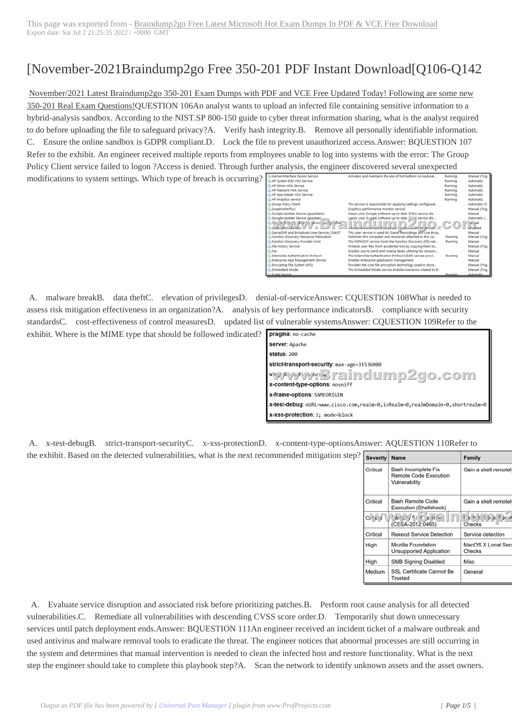## [November-2021B[raindump2go Free 350-201 PDF Instant Download\[Q10](https://www.symantecdumps.com/?p=12022)6-Q142

November/2021 Latest Braindump2go 350-201 Exam Dumps with PDF and VCE Free Updated Today! Following are some new 350-201 Real Exam Questions!QUESTION 106An analyst wants to upload an infected file containing sensitive information to a hybrid-analysis sandbox. According to the NIST.SP 800-150 guide to cyber threat information sharing, what is the analyst required to do before uploading the file to safeguard privacy?A. Verify hash integrity.B. Remove all personally identifiable information. C. Ensure the online sandbox is GDPR compliant.D. Lock the file to prevent unauthorized access.Answer: BQUESTION 107 Refer to the exhibit. An engineer received multiple reports from employees unable to log into systems with the error: The Group Policy Client service failed to logon ?Access is denied. Through further analysis, the engineer discovered several unexpected

modifications to system settings. Which type of breach is occurring?

| C. Human Interface Device Service                             | Activates and maintains the use of hot buttons on keyboar    | Running | Manual (Trig. |
|---------------------------------------------------------------|--------------------------------------------------------------|---------|---------------|
| C. HP System Info HSA Service                                 |                                                              | Running | Automatic     |
| CLHP Omen HSA Service                                         |                                                              | Running | Automatic     |
| C. HP Network HSA Service                                     |                                                              | Running | Automatic     |
| C.HP App Helper HSA Service                                   |                                                              | Running | Automatic     |
| C.HP Analytics service                                        |                                                              | Running | Automatic     |
| Group Policy Client                                           | The service is responsible for applying settings configured  |         | Automatic (T. |
| C. GraphicsPerfSvc                                            | Graphics performance monitor service                         |         | Manual (Trig. |
| C. Google Update Service (gupdatem)                           | Keeps your Google software up to date. If this service dis   |         | Manual        |
| C. Google Update Service (gupdate)                            | ligeps your Gapgle software up to date. If this service dis  |         | Automatic (   |
| C. Chank Anton A LA With Service<br>بمساوي<br>Guilculto Leuke | control of the art the<br>the development of the current in  | COIL    |               |
| GarneOVR and Broadcast User Service_136c57                    | This user service is used for Game Recordings and Live Broa  |         | Manual        |
| C. Function Discovery Resource Publication                    | Publishes this computer and resources attached to this co    | Running | Manual (Trig. |
| C. Function Discovery Provider Host                           | The FDPHOST service hosts the Function Discovery (FD) net    | Running | Manual        |
| C. File History Service                                       | Protects user files from accidental loss by copying them to  |         | Manual (Trig. |
| CL Fax:                                                       | Enables you to send and receive faxes, utilizing fax resourc |         | Manual        |
| C. Extensible Authentication Protocol                         | The Extensible Authentication Protocol (EAP) service provi   | Running | Manual        |
| C. Enterprise App Management Service                          | Enables enterprise application management.                   |         | Manual        |
| C. Encrypting File System (EFS)                               | Provides the core file encryption technology used to store   |         | Manual (Trig. |
| C. Embedded Mode                                              | The Embedded Mode service enables scenarios related to B.    |         | Manuel (Trig. |
| C FLAN Service                                                |                                                              | Running | Automatic     |

 A. malware breakB. data theftC. elevation of privilegesD. denial-of-serviceAnswer: CQUESTION 108What is needed to assess risk mitigation effectiveness in an organization?A. analysis of key performance indicatorsB. compliance with security standardsC. cost-effectiveness of control measuresD. updated list of vulnerable systemsAnswer: CQUESTION 109Refer to the exhibit. Where is the MIME type that should be followed indicated?

| pragma: no-cache                                                              |  |  |
|-------------------------------------------------------------------------------|--|--|
| server: Apache                                                                |  |  |
| status: 200                                                                   |  |  |
| strict-transport-security: max-age=31536000                                   |  |  |
| wwww@raindump2go.com<br>x-content-type-options: nosniff                       |  |  |
| x-frame-options: SAMEORIGIN                                                   |  |  |
| x-test-debug: nURL=www.cisco.com,realm=0,isRealm=0,realmDomain=0,shortrealm=0 |  |  |
| x-xss-protection: 1; mode=block                                               |  |  |

 A. x-test-debugB. strict-transport-securityC. x-xss-protectionD. x-content-type-optionsAnswer: AQUESTION 110Refer to the exhibit. Based on the detected vulnerabilities, what is the next recommended mitigation step?

| <b>Severity</b> | <b>Name</b>                                                   | Family                                        |
|-----------------|---------------------------------------------------------------|-----------------------------------------------|
| Critical        | Bash Incomplete Fix<br>Remote Code Execution<br>Vulnerability | Gain a shell remotely                         |
| Critical        | Bash Remote Code<br>Execution (Shellshock)                    | Gain a shell remotely                         |
| $Cr^4$          | $66/1/5/5$ s $5/1$<br>(CESA-2012:0465)                        | $C$ $B$ $B$ $C$ $B$ $C$ $B$ $C$ $D$<br>Checks |
| Critical        | <b>Rexecd Service Detection</b>                               | Service detection                             |
| High            | Mozilla Foundation<br>Unsupported Application                 | MacOS X Local Security<br>Checks              |
| High            | <b>SMB Signing Disabled</b>                                   | Misc                                          |
| Medium          | SSL Certificate Cannot Be<br>Trusted                          | General                                       |

 A. Evaluate service disruption and associated risk before prioritizing patches.B. Perform root cause analysis for all detected vulnerabilities.C. Remediate all vulnerabilities with descending CVSS score order.D. Temporarily shut down unnecessary services until patch deployment ends.Answer: BQUESTION 111An engineer received an incident ticket of a malware outbreak and used antivirus and malware removal tools to eradicate the threat. The engineer notices that abnormal processes are still occurring in the system and determines that manual intervention is needed to clean the infected host and restore functionality. What is the next step the engineer should take to complete this playbook step?A. Scan the network to identify unknown assets and the asset owners.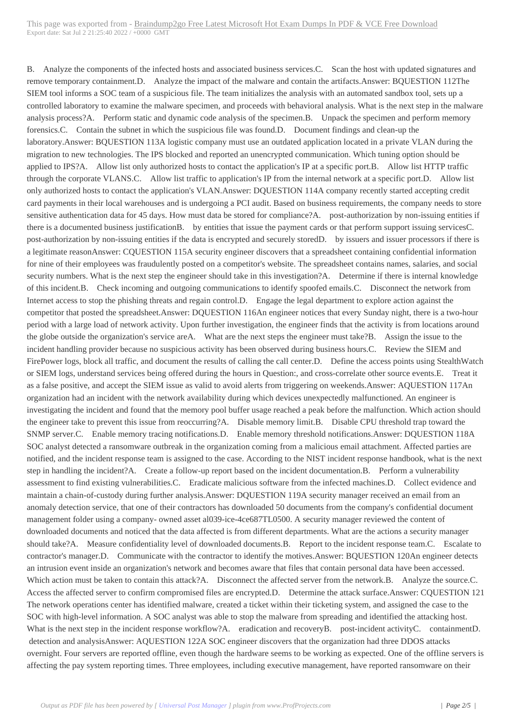B. Analyze the components [of the infected hosts and associated business services.C. Scan the host with updated sign](https://www.symantecdumps.com/?p=12022)atures and remove temporary containment.D. Analyze the impact of the malware and contain the artifacts.Answer: BQUESTION 112The SIEM tool informs a SOC team of a suspicious file. The team initializes the analysis with an automated sandbox tool, sets up a controlled laboratory to examine the malware specimen, and proceeds with behavioral analysis. What is the next step in the malware analysis process?A. Perform static and dynamic code analysis of the specimen.B. Unpack the specimen and perform memory forensics.C. Contain the subnet in which the suspicious file was found.D. Document findings and clean-up the laboratory.Answer: BQUESTION 113A logistic company must use an outdated application located in a private VLAN during the migration to new technologies. The IPS blocked and reported an unencrypted communication. Which tuning option should be applied to IPS?A. Allow list only authorized hosts to contact the application's IP at a specific port.B. Allow list HTTP traffic through the corporate VLANS.C. Allow list traffic to application's IP from the internal network at a specific port.D. Allow list only authorized hosts to contact the application's VLAN.Answer: DQUESTION 114A company recently started accepting credit card payments in their local warehouses and is undergoing a PCI audit. Based on business requirements, the company needs to store sensitive authentication data for 45 days. How must data be stored for compliance?A. post-authorization by non-issuing entities if there is a documented business justificationB. by entities that issue the payment cards or that perform support issuing servicesC. post-authorization by non-issuing entities if the data is encrypted and securely storedD. by issuers and issuer processors if there is a legitimate reasonAnswer: CQUESTION 115A security engineer discovers that a spreadsheet containing confidential information for nine of their employees was fraudulently posted on a competitor's website. The spreadsheet contains names, salaries, and social security numbers. What is the next step the engineer should take in this investigation?A. Determine if there is internal knowledge of this incident.B. Check incoming and outgoing communications to identify spoofed emails.C. Disconnect the network from Internet access to stop the phishing threats and regain control.D. Engage the legal department to explore action against the competitor that posted the spreadsheet.Answer: DQUESTION 116An engineer notices that every Sunday night, there is a two-hour period with a large load of network activity. Upon further investigation, the engineer finds that the activity is from locations around the globe outside the organization's service areA. What are the next steps the engineer must take?B. Assign the issue to the incident handling provider because no suspicious activity has been observed during business hours.C. Review the SIEM and FirePower logs, block all traffic, and document the results of calling the call center.D. Define the access points using StealthWatch or SIEM logs, understand services being offered during the hours in Question:, and cross-correlate other source events.E. Treat it as a false positive, and accept the SIEM issue as valid to avoid alerts from triggering on weekends.Answer: AQUESTION 117An organization had an incident with the network availability during which devices unexpectedly malfunctioned. An engineer is investigating the incident and found that the memory pool buffer usage reached a peak before the malfunction. Which action should the engineer take to prevent this issue from reoccurring?A. Disable memory limit.B. Disable CPU threshold trap toward the SNMP server.C. Enable memory tracing notifications.D. Enable memory threshold notifications.Answer: DQUESTION 118A SOC analyst detected a ransomware outbreak in the organization coming from a malicious email attachment. Affected parties are notified, and the incident response team is assigned to the case. According to the NIST incident response handbook, what is the next step in handling the incident?A. Create a follow-up report based on the incident documentation.B. Perform a vulnerability assessment to find existing vulnerabilities.C. Eradicate malicious software from the infected machines.D. Collect evidence and maintain a chain-of-custody during further analysis.Answer: DQUESTION 119A security manager received an email from an anomaly detection service, that one of their contractors has downloaded 50 documents from the company's confidential document management folder using a company- owned asset al039-ice-4ce687TL0500. A security manager reviewed the content of downloaded documents and noticed that the data affected is from different departments. What are the actions a security manager should take?A. Measure confidentiality level of downloaded documents.B. Report to the incident response team.C. Escalate to contractor's manager.D. Communicate with the contractor to identify the motives.Answer: BQUESTION 120An engineer detects an intrusion event inside an organization's network and becomes aware that files that contain personal data have been accessed. Which action must be taken to contain this attack?A. Disconnect the affected server from the network.B. Analyze the source.C. Access the affected server to confirm compromised files are encrypted.D. Determine the attack surface.Answer: CQUESTION 121 The network operations center has identified malware, created a ticket within their ticketing system, and assigned the case to the SOC with high-level information. A SOC analyst was able to stop the malware from spreading and identified the attacking host. What is the next step in the incident response workflow?A. eradication and recoveryB. post-incident activityC. containmentD. detection and analysisAnswer: AQUESTION 122A SOC engineer discovers that the organization had three DDOS attacks overnight. Four servers are reported offline, even though the hardware seems to be working as expected. One of the offline servers is affecting the pay system reporting times. Three employees, including executive management, have reported ransomware on their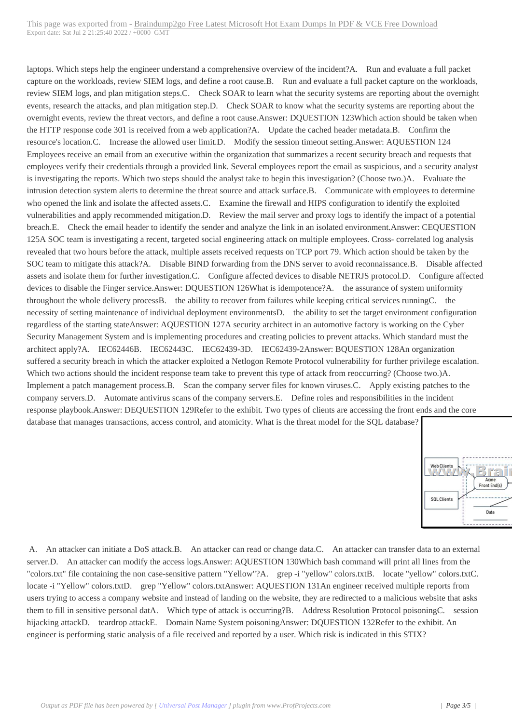laptops. Which steps help the e[ngineer understand a comprehensive overview of the incident?A. Run and evaluate a fu](https://www.symantecdumps.com/?p=12022)ll packet capture on the workloads, review SIEM logs, and define a root cause.B. Run and evaluate a full packet capture on the workloads, review SIEM logs, and plan mitigation steps.C. Check SOAR to learn what the security systems are reporting about the overnight events, research the attacks, and plan mitigation step.D. Check SOAR to know what the security systems are reporting about the overnight events, review the threat vectors, and define a root cause.Answer: DQUESTION 123Which action should be taken when the HTTP response code 301 is received from a web application?A. Update the cached header metadata.B. Confirm the resource's location.C. Increase the allowed user limit.D. Modify the session timeout setting.Answer: AQUESTION 124 Employees receive an email from an executive within the organization that summarizes a recent security breach and requests that employees verify their credentials through a provided link. Several employees report the email as suspicious, and a security analyst is investigating the reports. Which two steps should the analyst take to begin this investigation? (Choose two.)A. Evaluate the intrusion detection system alerts to determine the threat source and attack surface.B. Communicate with employees to determine who opened the link and isolate the affected assets.C. Examine the firewall and HIPS configuration to identify the exploited vulnerabilities and apply recommended mitigation.D. Review the mail server and proxy logs to identify the impact of a potential breach.E. Check the email header to identify the sender and analyze the link in an isolated environment.Answer: CEQUESTION 125A SOC team is investigating a recent, targeted social engineering attack on multiple employees. Cross- correlated log analysis revealed that two hours before the attack, multiple assets received requests on TCP port 79. Which action should be taken by the SOC team to mitigate this attack?A. Disable BIND forwarding from the DNS server to avoid reconnaissance.B. Disable affected assets and isolate them for further investigation.C. Configure affected devices to disable NETRJS protocol.D. Configure affected devices to disable the Finger service.Answer: DQUESTION 126What is idempotence?A. the assurance of system uniformity throughout the whole delivery processB. the ability to recover from failures while keeping critical services runningC. the necessity of setting maintenance of individual deployment environmentsD. the ability to set the target environment configuration regardless of the starting stateAnswer: AQUESTION 127A security architect in an automotive factory is working on the Cyber Security Management System and is implementing procedures and creating policies to prevent attacks. Which standard must the architect apply?A. IEC62446B. IEC62443C. IEC62439-3D. IEC62439-2Answer: BQUESTION 128An organization suffered a security breach in which the attacker exploited a Netlogon Remote Protocol vulnerability for further privilege escalation. Which two actions should the incident response team take to prevent this type of attack from reoccurring? (Choose two.)A. Implement a patch management process.B. Scan the company server files for known viruses.C. Apply existing patches to the company servers.D. Automate antivirus scans of the company servers.E. Define roles and responsibilities in the incident response playbook.Answer: DEQUESTION 129Refer to the exhibit. Two types of clients are accessing the front ends and the core database that manages transactions, access control, and atomicity. What is the threat model for the SQL database?



 A. An attacker can initiate a DoS attack.B. An attacker can read or change data.C. An attacker can transfer data to an external server.D. An attacker can modify the access logs.Answer: AQUESTION 130Which bash command will print all lines from the "colors.txt" file containing the non case-sensitive pattern "Yellow"?A. grep -i "yellow" colors.txtB. locate "yellow" colors.txtC. locate -i "Yellow" colors.txtD. grep "Yellow" colors.txtAnswer: AQUESTION 131An engineer received multiple reports from users trying to access a company website and instead of landing on the website, they are redirected to a malicious website that asks them to fill in sensitive personal datA. Which type of attack is occurring?B. Address Resolution Protocol poisoningC. session hijacking attackD. teardrop attackE. Domain Name System poisoningAnswer: DQUESTION 132Refer to the exhibit. An engineer is performing static analysis of a file received and reported by a user. Which risk is indicated in this STIX?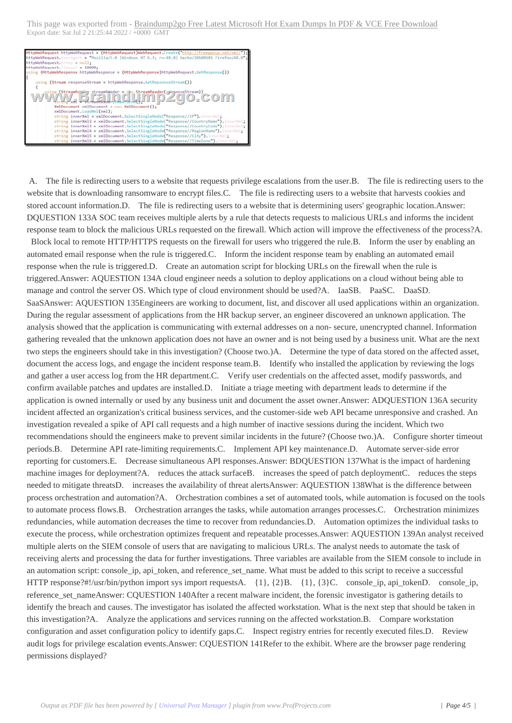IS NT 6.3; rv:48.0) Gecko/20100101 Firefox/48 "Morilla/5.0 (Windo uest  $11:$ ebRequest. uest.  $-10$ ia. sponse = (HttpNebResponse)httpNebRequest.GetResponse()) <u>numinu be</u> XmlDocument(); xmlDocument =<br>LoadXml(xml); innerXml = xmlDocument.SelectSingleNode( innerXml2 = xmlDocument.SelectSingleNode innerXml2 = xmlDocument.SelectSingleNode("Response//CountryName").<br>innerXml3 = xmlDocument.SelectSingleNode("Response//CountryCode").<br>innerXml4 = xmlDocument.SelectSingleNode("Response//RegionName").1 se//Regionm<br>se//City**").**<br>se//TimeZon  $erXmlS = xmlD$ <br> $erXml6 = xmlD$  $\sum_{i=1}^{n}$ 

 A. The file is redirecting users to a website that requests privilege escalations from the user.B. The file is redirecting users to the website that is downloading ransomware to encrypt files.C. The file is redirecting users to a website that harvests cookies and stored account information.D. The file is redirecting users to a website that is determining users' geographic location.Answer: DQUESTION 133A SOC team receives multiple alerts by a rule that detects requests to malicious URLs and informs the incident response team to block the malicious URLs requested on the firewall. Which action will improve the effectiveness of the process?A.

 Block local to remote HTTP/HTTPS requests on the firewall for users who triggered the rule.B. Inform the user by enabling an automated email response when the rule is triggered.C. Inform the incident response team by enabling an automated email response when the rule is triggered.D. Create an automation script for blocking URLs on the firewall when the rule is triggered.Answer: AQUESTION 134A cloud engineer needs a solution to deploy applications on a cloud without being able to manage and control the server OS. Which type of cloud environment should be used?A. IaaSB. PaaSC. DaaSD. SaaSAnswer: AQUESTION 135Engineers are working to document, list, and discover all used applications within an organization. During the regular assessment of applications from the HR backup server, an engineer discovered an unknown application. The analysis showed that the application is communicating with external addresses on a non- secure, unencrypted channel. Information gathering revealed that the unknown application does not have an owner and is not being used by a business unit. What are the next two steps the engineers should take in this investigation? (Choose two.)A. Determine the type of data stored on the affected asset, document the access logs, and engage the incident response team.B. Identify who installed the application by reviewing the logs and gather a user access log from the HR department.C. Verify user credentials on the affected asset, modify passwords, and confirm available patches and updates are installed.D. Initiate a triage meeting with department leads to determine if the application is owned internally or used by any business unit and document the asset owner.Answer: ADQUESTION 136A security incident affected an organization's critical business services, and the customer-side web API became unresponsive and crashed. An investigation revealed a spike of API call requests and a high number of inactive sessions during the incident. Which two recommendations should the engineers make to prevent similar incidents in the future? (Choose two.)A. Configure shorter timeout periods.B. Determine API rate-limiting requirements.C. Implement API key maintenance.D. Automate server-side error reporting for customers.E. Decrease simultaneous API responses.Answer: BDQUESTION 137What is the impact of hardening machine images for deployment?A. reduces the attack surfaceB. increases the speed of patch deploymentC. reduces the steps needed to mitigate threatsD. increases the availability of threat alertsAnswer: AQUESTION 138What is the difference between process orchestration and automation?A. Orchestration combines a set of automated tools, while automation is focused on the tools to automate process flows.B. Orchestration arranges the tasks, while automation arranges processes.C. Orchestration minimizes redundancies, while automation decreases the time to recover from redundancies.D. Automation optimizes the individual tasks to execute the process, while orchestration optimizes frequent and repeatable processes.Answer: AQUESTION 139An analyst received multiple alerts on the SIEM console of users that are navigating to malicious URLs. The analyst needs to automate the task of receiving alerts and processing the data for further investigations. Three variables are available from the SIEM console to include in an automation script: console\_ip, api\_token, and reference\_set\_name. What must be added to this script to receive a successful HTTP response?#!/usr/bin/python import sys import requestsA. {1}, {2}B. {1}, {3}C. console\_ip, api\_tokenD. console\_ip, reference\_set\_nameAnswer: CQUESTION 140After a recent malware incident, the forensic investigator is gathering details to identify the breach and causes. The investigator has isolated the affected workstation. What is the next step that should be taken in this investigation?A. Analyze the applications and services running on the affected workstation.B. Compare workstation configuration and asset configuration policy to identify gaps.C. Inspect registry entries for recently executed files.D. Review audit logs for privilege escalation events.Answer: CQUESTION 141Refer to the exhibit. Where are the browser page rendering permissions displayed?